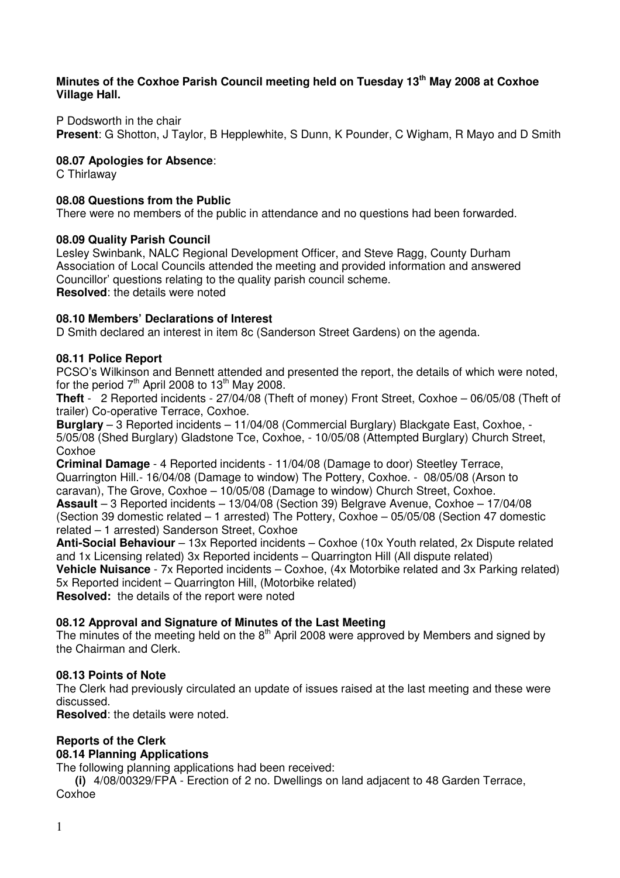## **Minutes of the Coxhoe Parish Council meeting held on Tuesday 13th May 2008 at Coxhoe Village Hall.**

P Dodsworth in the chair

**Present**: G Shotton, J Taylor, B Hepplewhite, S Dunn, K Pounder, C Wigham, R Mayo and D Smith

# **08.07 Apologies for Absence**:

C Thirlaway

## **08.08 Questions from the Public**

There were no members of the public in attendance and no questions had been forwarded.

### **08.09 Quality Parish Council**

Lesley Swinbank, NALC Regional Development Officer, and Steve Ragg, County Durham Association of Local Councils attended the meeting and provided information and answered Councillor' questions relating to the quality parish council scheme. **Resolved**: the details were noted

# **08.10 Members' Declarations of Interest**

D Smith declared an interest in item 8c (Sanderson Street Gardens) on the agenda.

### **08.11 Police Report**

PCSO's Wilkinson and Bennett attended and presented the report, the details of which were noted, for the period  $7<sup>th</sup>$  April 2008 to 13<sup>th</sup> May 2008.

**Theft** - 2 Reported incidents - 27/04/08 (Theft of money) Front Street, Coxhoe – 06/05/08 (Theft of trailer) Co-operative Terrace, Coxhoe.

**Burglary** – 3 Reported incidents – 11/04/08 (Commercial Burglary) Blackgate East, Coxhoe, - 5/05/08 (Shed Burglary) Gladstone Tce, Coxhoe, - 10/05/08 (Attempted Burglary) Church Street, Coxhoe

**Criminal Damage** - 4 Reported incidents - 11/04/08 (Damage to door) Steetley Terrace, Quarrington Hill.- 16/04/08 (Damage to window) The Pottery, Coxhoe. - 08/05/08 (Arson to caravan), The Grove, Coxhoe – 10/05/08 (Damage to window) Church Street, Coxhoe. **Assault** – 3 Reported incidents – 13/04/08 (Section 39) Belgrave Avenue, Coxhoe – 17/04/08 (Section 39 domestic related – 1 arrested) The Pottery, Coxhoe – 05/05/08 (Section 47 domestic related – 1 arrested) Sanderson Street, Coxhoe

**Anti-Social Behaviour** – 13x Reported incidents – Coxhoe (10x Youth related, 2x Dispute related and 1x Licensing related) 3x Reported incidents – Quarrington Hill (All dispute related) **Vehicle Nuisance** - 7x Reported incidents – Coxhoe, (4x Motorbike related and 3x Parking related) 5x Reported incident – Quarrington Hill, (Motorbike related)

**Resolved:** the details of the report were noted

# **08.12 Approval and Signature of Minutes of the Last Meeting**

The minutes of the meeting held on the  $8<sup>th</sup>$  April 2008 were approved by Members and signed by the Chairman and Clerk.

### **08.13 Points of Note**

The Clerk had previously circulated an update of issues raised at the last meeting and these were discussed.

**Resolved**: the details were noted.

### **Reports of the Clerk**

# **08.14 Planning Applications**

The following planning applications had been received:

**(i)** 4/08/00329/FPA - Erection of 2 no. Dwellings on land adjacent to 48 Garden Terrace, Coxhoe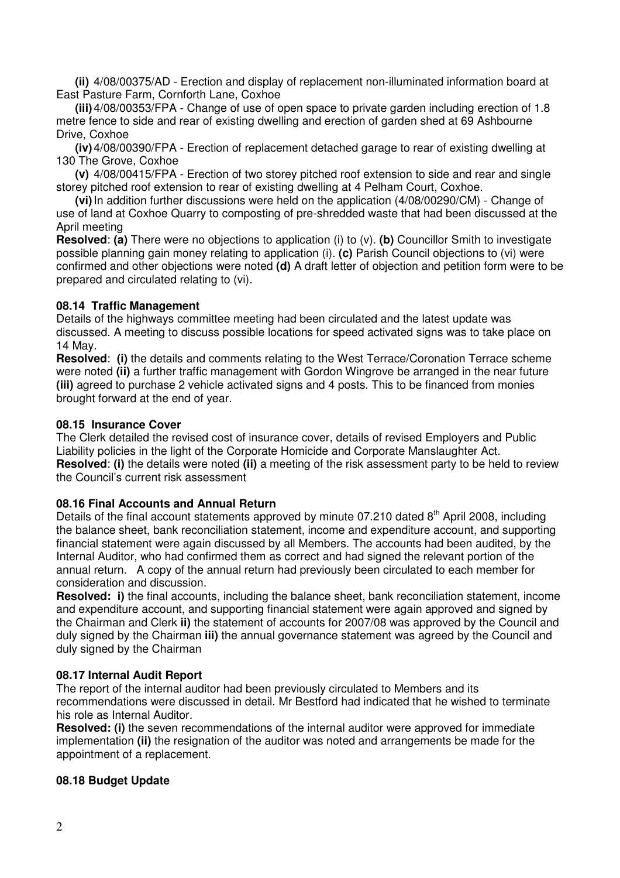**(ii)** 4/08/00375/AD - Erection and display of replacement non-illuminated information board at East Pasture Farm, Cornforth Lane, Coxhoe

**(iii)** 4/08/00353/FPA - Change of use of open space to private garden including erection of 1.8 metre fence to side and rear of existing dwelling and erection of garden shed at 69 Ashbourne Drive, Coxhoe

**(iv)** 4/08/00390/FPA - Erection of replacement detached garage to rear of existing dwelling at 130 The Grove, Coxhoe

**(v)** 4/08/00415/FPA - Erection of two storey pitched roof extension to side and rear and single storey pitched roof extension to rear of existing dwelling at 4 Pelham Court, Coxhoe.

**(vi)** In addition further discussions were held on the application (4/08/00290/CM) - Change of use of land at Coxhoe Quarry to composting of pre-shredded waste that had been discussed at the April meeting

**Resolved**: **(a)** There were no objections to application (i) to (v). **(b)** Councillor Smith to investigate possible planning gain money relating to application (i). **(c)** Parish Council objections to (vi) were confirmed and other objections were noted **(d)** A draft letter of objection and petition form were to be prepared and circulated relating to (vi).

# **08.14 Traffic Management**

Details of the highways committee meeting had been circulated and the latest update was discussed. A meeting to discuss possible locations for speed activated signs was to take place on 14 May.

**Resolved**: **(i)** the details and comments relating to the West Terrace/Coronation Terrace scheme were noted **(ii)** a further traffic management with Gordon Wingrove be arranged in the near future **(iii)** agreed to purchase 2 vehicle activated signs and 4 posts. This to be financed from monies brought forward at the end of year.

# **08.15 Insurance Cover**

The Clerk detailed the revised cost of insurance cover, details of revised Employers and Public Liability policies in the light of the Corporate Homicide and Corporate Manslaughter Act. **Resolved**: **(i)** the details were noted **(ii)** a meeting of the risk assessment party to be held to review the Council's current risk assessment

### **08.16 Final Accounts and Annual Return**

Details of the final account statements approved by minute 07.210 dated  $8<sup>th</sup>$  April 2008, including the balance sheet, bank reconciliation statement, income and expenditure account, and supporting financial statement were again discussed by all Members. The accounts had been audited, by the Internal Auditor, who had confirmed them as correct and had signed the relevant portion of the annual return. A copy of the annual return had previously been circulated to each member for consideration and discussion.

**Resolved: i)** the final accounts, including the balance sheet, bank reconciliation statement, income and expenditure account, and supporting financial statement were again approved and signed by the Chairman and Clerk **ii)** the statement of accounts for 2007/08 was approved by the Council and duly signed by the Chairman **iii)** the annual governance statement was agreed by the Council and duly signed by the Chairman

### **08.17 Internal Audit Report**

The report of the internal auditor had been previously circulated to Members and its recommendations were discussed in detail. Mr Bestford had indicated that he wished to terminate his role as Internal Auditor.

**Resolved: (i)** the seven recommendations of the internal auditor were approved for immediate implementation **(ii)** the resignation of the auditor was noted and arrangements be made for the appointment of a replacement.

# **08.18 Budget Update**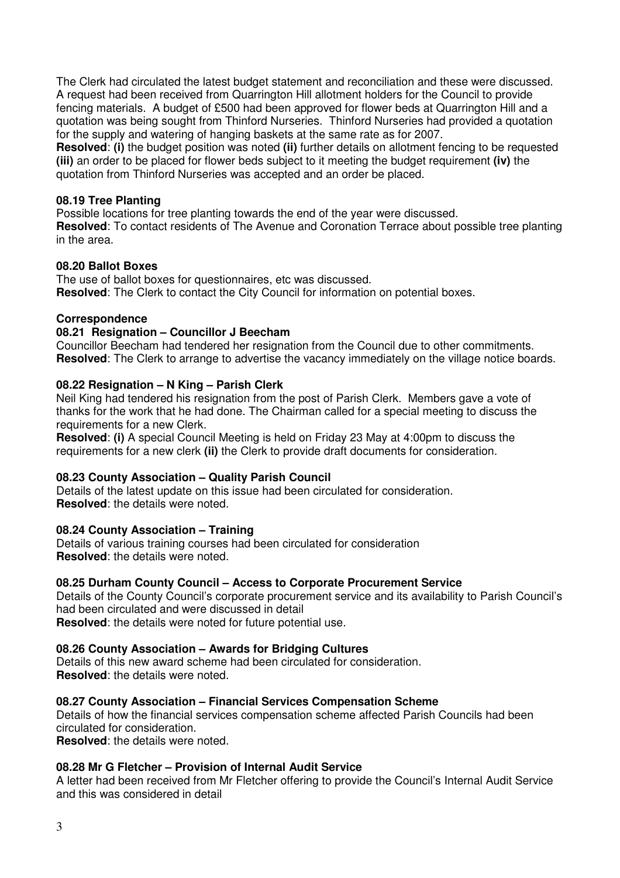The Clerk had circulated the latest budget statement and reconciliation and these were discussed. A request had been received from Quarrington Hill allotment holders for the Council to provide fencing materials. A budget of £500 had been approved for flower beds at Quarrington Hill and a quotation was being sought from Thinford Nurseries. Thinford Nurseries had provided a quotation for the supply and watering of hanging baskets at the same rate as for 2007.

**Resolved**: **(i)** the budget position was noted **(ii)** further details on allotment fencing to be requested **(iii)** an order to be placed for flower beds subject to it meeting the budget requirement **(iv)** the quotation from Thinford Nurseries was accepted and an order be placed.

### **08.19 Tree Planting**

Possible locations for tree planting towards the end of the year were discussed.

**Resolved**: To contact residents of The Avenue and Coronation Terrace about possible tree planting in the area.

### **08.20 Ballot Boxes**

The use of ballot boxes for questionnaires, etc was discussed. **Resolved:** The Clerk to contact the City Council for information on potential boxes.

# **Correspondence**

### **08.21 Resignation – Councillor J Beecham**

Councillor Beecham had tendered her resignation from the Council due to other commitments. **Resolved**: The Clerk to arrange to advertise the vacancy immediately on the village notice boards.

# **08.22 Resignation – N King – Parish Clerk**

Neil King had tendered his resignation from the post of Parish Clerk. Members gave a vote of thanks for the work that he had done. The Chairman called for a special meeting to discuss the requirements for a new Clerk.

**Resolved**: **(i)** A special Council Meeting is held on Friday 23 May at 4:00pm to discuss the requirements for a new clerk **(ii)** the Clerk to provide draft documents for consideration.

### **08.23 County Association – Quality Parish Council**

Details of the latest update on this issue had been circulated for consideration. **Resolved**: the details were noted.

### **08.24 County Association – Training**

Details of various training courses had been circulated for consideration **Resolved**: the details were noted.

### **08.25 Durham County Council – Access to Corporate Procurement Service**

Details of the County Council's corporate procurement service and its availability to Parish Council's had been circulated and were discussed in detail **Resolved**: the details were noted for future potential use.

# **08.26 County Association – Awards for Bridging Cultures**

Details of this new award scheme had been circulated for consideration. **Resolved**: the details were noted.

### **08.27 County Association – Financial Services Compensation Scheme**

Details of how the financial services compensation scheme affected Parish Councils had been circulated for consideration.

**Resolved**: the details were noted.

### **08.28 Mr G Fletcher – Provision of Internal Audit Service**

A letter had been received from Mr Fletcher offering to provide the Council's Internal Audit Service and this was considered in detail